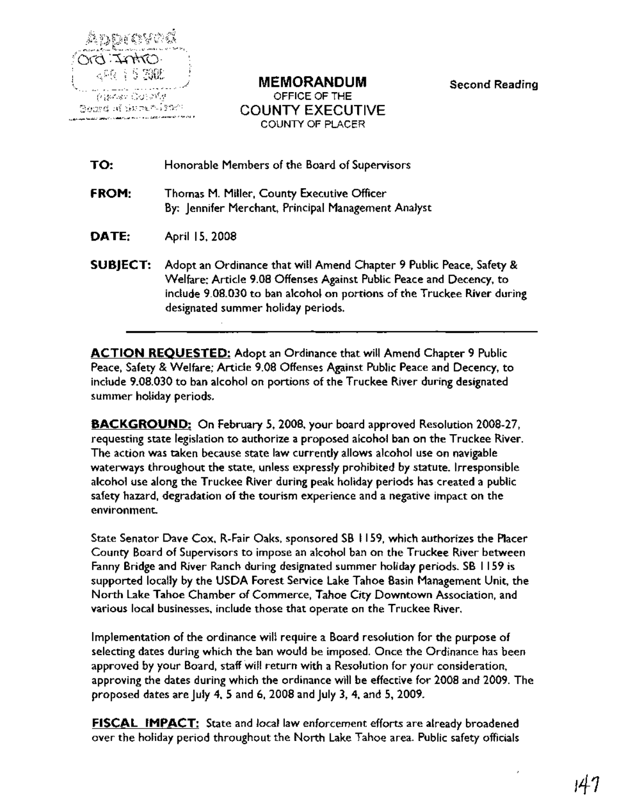

'<0"'" '",,""~~C:l ......,.-.:.""" •••\_...... , "" :;i~ ... 'M '. '''''"''\_,..,,'';~~~~......;",::.-".,,,,- ..-"C"~~ MEMORANDUM OFFICE OF THE COUNTY EXECUTIVE COUNTY OF PLACER

Second Reading

| TO:             | Honorable Members of the Board of Supervisors                                                                                                                                                                                                               |
|-----------------|-------------------------------------------------------------------------------------------------------------------------------------------------------------------------------------------------------------------------------------------------------------|
| FROM:           | Thomas M. Miller, County Executive Officer<br>By: Jennifer Merchant, Principal Management Analyst                                                                                                                                                           |
| DATE:           | April 15, 2008                                                                                                                                                                                                                                              |
| <b>SUBJECT:</b> | Adopt an Ordinance that will Amend Chapter 9 Public Peace, Safety &<br>Welfare; Article 9.08 Offenses Against Public Peace and Decency, to<br>include 9.08.030 to ban alcohol on portions of the Truckee River during<br>designated summer holiday periods. |

ACTION REQUESTED: Adopt an Ordinance that will Amend Chapter 9 Public Peace, Safety & Welfare; Article 9.08 Offenses Against Public Peace and Decency, to include 9.08.030 to ban alcohol on portions of the Truckee River during designated summer holiday periods.

BACKGROUND: On February 5, 2008, your board approved Resolution 2008-27, requesting state legislation to authorize a proposed alcohol ban on the Truckee River. The action was taken because state law currently allows alcohol use on navigable waterways throughout the state, unless expressly prohibited by statute. Irresponsible alcohol use along the Truckee River during peak holiday periods has created a public safety hazard, degradation of the tourism experience and a negative impact on the environment.

State Senator Dave Cox, R-Fair Oaks, sponsored SB I 159, which authorizes the Placer County Board of Supervisors to impose an alcohol ban on the Truckee River between Fanny Bridge and River Ranch during designated summer holiday periods. SB 1159 is supported locally by the USDA Forest Service Lake Tahoe Basin Management Unit, the North Lake Tahoe Chamber of Commerce, Tahoe City Downtown·Association, and various local businesses, include those that operate on the Truckee River.

Implementation of the ordinance will require a Board resolution for the purpose of selecting dates during which the ban would be imposed. Once the Ordinance has been approved by your Board, staff will return with a Resolution for your consideration, approving the dates during which the ordinance will be effective for 2008 and 2009. The proposed dates are July 4, 5 and 6, 2008 and July 3, 4, and 5, 2009.

FISCAL IMPACT: State and local law enforcement efforts are already broadened over the holiday period throughout the North Lake Tahoe area. Public safety officials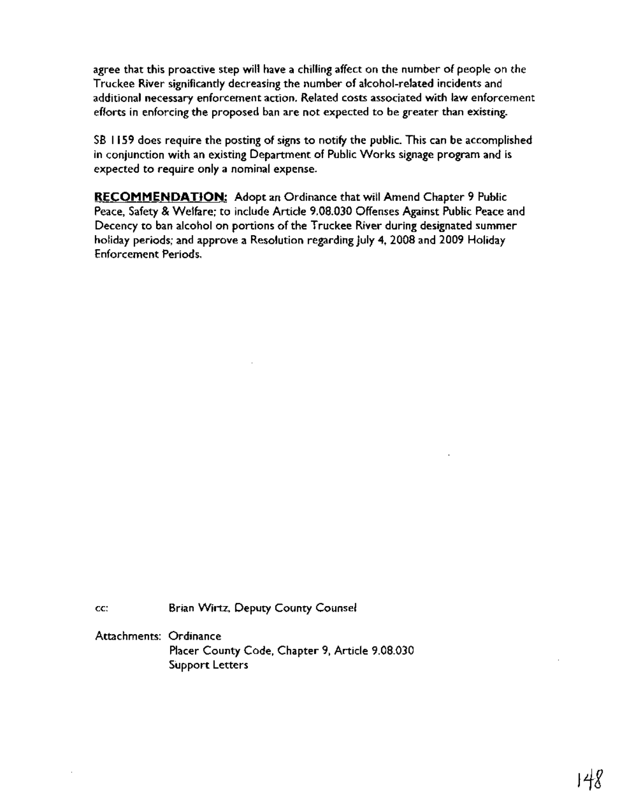agree that this proactive step will have a chilling affect on the number of people on the Truckee River significantly decreasing the number of alcohol-related incidents and additional necessary enforcement action. Related costs associated with law enforcement efforts in enforcing the proposed ban are not expected to be greater than existing.

SB I 159 does require the posting of signs to notify the public. This can be accomplished in conjunction with an existing Department of Public Works signage program and is expected to require only a nominal expense.

**RECOMMENDATION:** Adopt an Ordinance that will Amend Chapter 9 Public Peace, Safety & Welfare; to include Article 9.08.030 Offenses Against Public Peace and Decency to ban alcohol on portions of the Truckee River during designated summer holiday periods; and approve a Resolution regarding July 4, 2008 and 2009 Holiday Enforcement Periods.

cc: Brian Wirtz, Deputy County Counsel

Attachments: Ordinance Placer County Code, Chapter 9, Article 9.08.030 Support Letters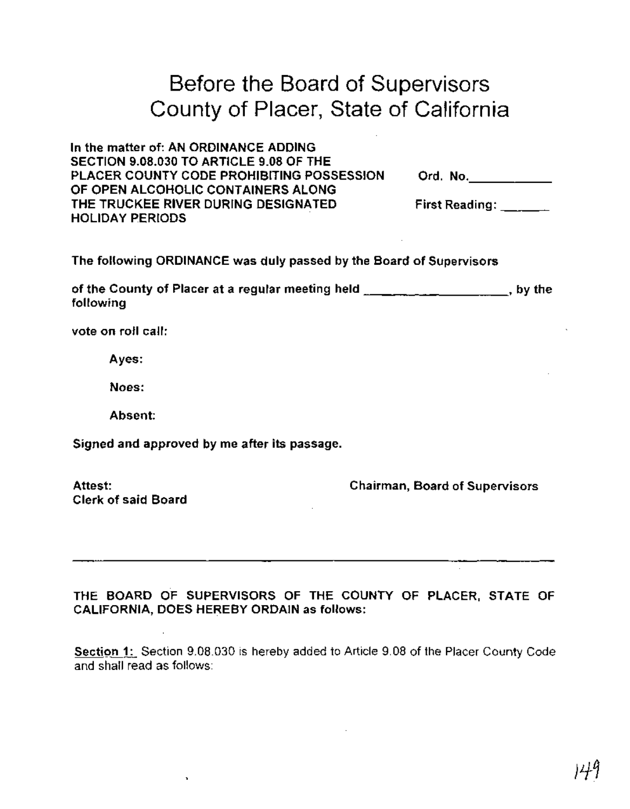# Before the Board of Supervisors County of Placer, State of California

| In the matter of: AN ORDINANCE ADDING     |                       |  |
|-------------------------------------------|-----------------------|--|
| SECTION 9.08.030 TO ARTICLE 9.08 OF THE   |                       |  |
| PLACER COUNTY CODE PROHIBITING POSSESSION | Ord. No.              |  |
| OF OPEN ALCOHOLIC CONTAINERS ALONG        |                       |  |
| THE TRUCKEE RIVER DURING DESIGNATED       | <b>First Reading:</b> |  |
| <b>HOLIDAY PERIODS</b>                    |                       |  |

The following ORDINANCE was duly passed by the Board of Supervisors

of the County of Placer at a regular meeting held **contained a set of the set of the set of the** following

vote on roll call:

Ayes:

Noes:

Absent:

Signed and approved by me after its passage.

Attest: Clerk of said Board Chairman, Board of Supervisors

THE BOARD OF SUPERVISORS OF THE COUNTY OF PLACER, STATE OF CALIFORNIA, DOES HEREBY ORDAIN as follows:

Section 1: Section 9.08.030 is hereby added to Article 9.08 of the Placer County Code and shall read as follows: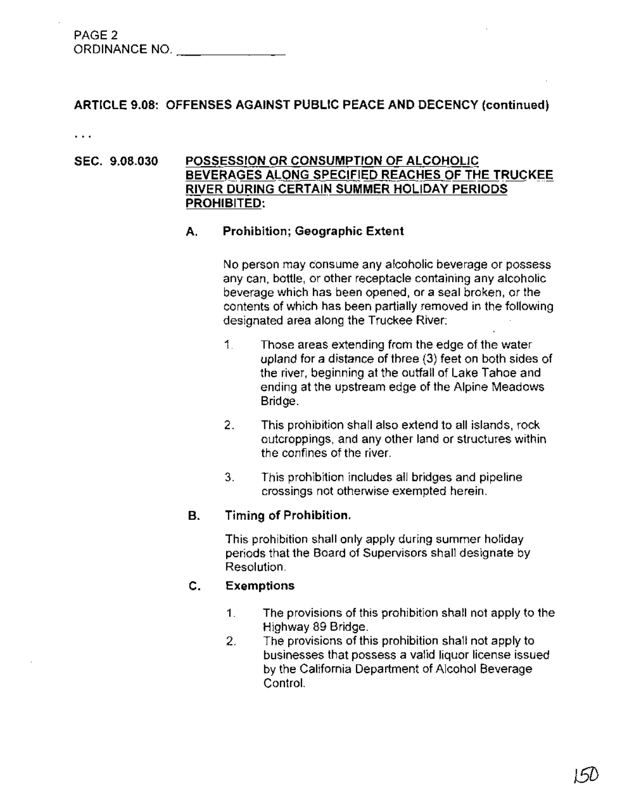| PAGE <sub>2</sub> |  |
|-------------------|--|
| ORDINANCE NO.     |  |

# ARTICLE 9.08: OFFENSES AGAINST PUBLIC PEACE AND DECENCY (continued)

 $\ddotsc$ 

# SEC. 9.08.030 POSSESSION OR CONSUMPTION OF ALCOHOLIC BEVERAGES ALONG SPECIFIED REACHES OF THE TRUCKEE RIVER DURING CERTAIN SUMMER HOLIDAY PERIODS PROHIBITED:

# A. Prohibition; Geographic Extent

No person may consume any alcoholic beverage or possess any can, bottle, or other receptacle containing any alcoholic beverage which has been opened, or a seal broken, or the contents of which has been partially removed in the following designated area along the Truckee River:

- 1. Those areas extending from the edge of the water upland for a distance of three (3) feet on both sides of the river, beginning at the outfall of Lake Tahoe and ending at the upstream edge of the Alpine Meadows Bridge.
- 2. This prohibition shall also extend to all islands, rock outcroppings, and any other land or structures within the confines of the river.
- 3. This prohibition includes all bridges and pipeline crossings not otherwise exempted herein.

# B. Timing of Prohibition.

This prohibition shall only apply during summer holiday periods that the Board of Supervisors shall designate by Resolution.

# C. Exemptions

- 1. The provisions of this prohibition shall not apply to the Highway 89 Bridge.
- 2. The provisions of this prohibition shall not apply to businesses that possess a valid liquor license issued by the California Department of Alcohol Beverage Control.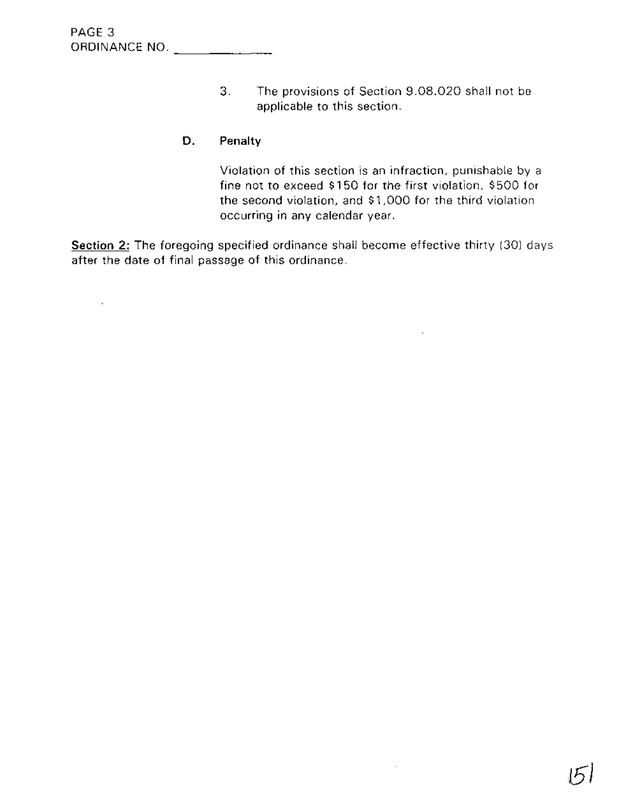Ŷ.

3. The provisions of Section 9.08.020 shall not be applicable to this section.

# **D. Penalty**

Violation of this section is an infraction, punishable by a fine not to exceed \$150 for the first violation, \$500 for the second violation, and \$1,000 for the third violation occurring in any calendar year.

 $\ddot{\phantom{a}}$ 

 $\bar{z}$ 

**Section 2:** The foregoing specified ordinance shall become effective thirty (30) days after the date of final passage of this ordinance.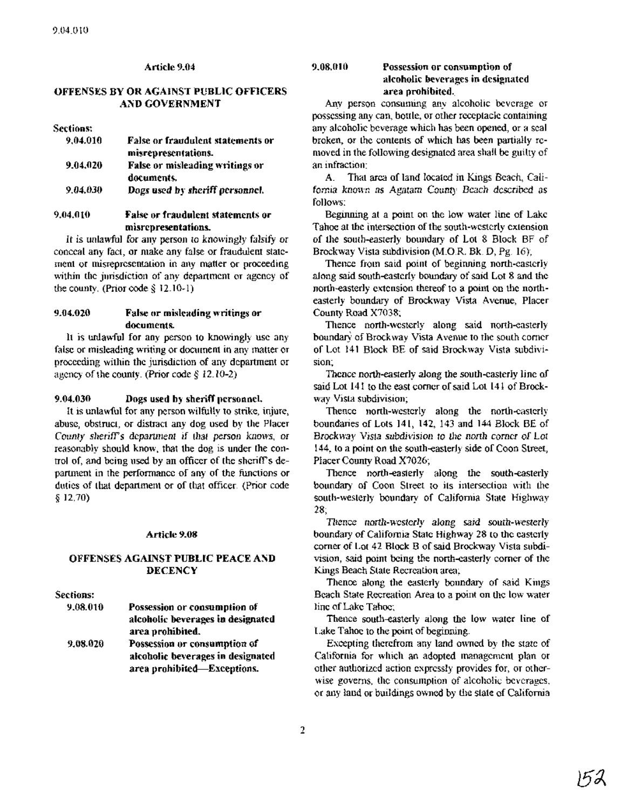## Article 9.04

# OFFENSES BY OR AGAINST PUBLIC OFFICERS AND GOVERNMENT

#### Sections:

| 9.04.010 | <b>False or fraudulent statements or</b> |
|----------|------------------------------------------|
|          | misrepresentations.                      |
| 9.04.020 | False or misleading writings or          |
|          | documents.                               |
| 9.04.030 | Dogs used by sheriff personnel.          |
|          |                                          |

# 9.04.010 False or fraudulent statements or misrepresentations.

It is unlawful for any person to knowingly falsify or conceal any fact, or make any false or fraudulent statement or misrepresentation in any matter or proceeding within the jurisdiction of any department or agency of the county. (Prior code § 12.10-1)

## 9.04.020 False or misleading writings or documents.

It is unlawful for any person to knowingly use any false or misleading writing or document in any matter or proceeding within the jurisdiction of any department or agency of the county. (Prior code § 12.10-2)

#### $9.04.030$  Dogs used by sheriff personnel.

It is unlawful for any person wilfully to strike, injure, abuse, obstruct, or distract any dog used by the Placer County sheriff's department if that person knows, or reasonably should know, that the dog is under the control of, and being used by an officer of the sheriff's department in the performance of any of the functions or duties of that department or of that officer. (Prior code § 12.70)

#### Article 9.08

## OFFENSES AGAINST PUBLIC PEACE AND **DECENCY**

#### Sections:

Possession or consumption of alcoholic beverages in designated area prohibited. Possession or consumption of alcoholic beverages in designated area prohibited-Exceptions. 9.08.020 9.08.010

## 9.08.010 Possession or consumption of alcoholic beverages in designated area prohibited.

Any person consuming any alcoholic beverage or possessing any can, bottle, or other receptacle containing any alcoholic beverage which has been opened, or a seal broken, or the contents of which has been partially removed in the following designated area shall be guilty of an infraction:

A. That area of land located in Kings Beach, California known as Agatam County Beach described as follows:

Beginning at a point on the low water line of Lake Tahoe at the intersection of the south-westerly extension of the south-easterly boundary of Lot 8 Block BF of Brockway Vista subdivision (M.OR Bk. D, Pg. 16);

Thence from said point of beginning north-easterly along said south-easterly boundary of said Lot 8 and the north-easterly extension thereof to a point on the northeasterly boundary of Brockway Vista Avenue, Placer County Road X7038;

Thence north-westerly along said north-easterly boundary of Brockway Vista Avenue to the south corner of Lot 141 Block BE of said Brockway Vista subdivision;

Thence north-easterly along the south-easterly line of said Lot 141 to the east corner of said Lot 141 of Brockway Vista subdivision;

Thence north-westerly along the north-easterly boundaries of Lots 141, 142, 143 and 144 Block BE of Brockway Vista subdivision to the north comer of Lot 144, to a point on the south-easterly side of Coon Street, Placer County Road X7026;

Thence north-easterly along the south-easterly boundary of Coon Street to its intersection with the south-westerly boundary of.California State Highway 28;

Thence north-westerly along said south-westerly boundary of California State Highway 28 to the easterly corner of Lot 42 Block B of said Brockway Vista subdivision, said point being the north-easterly corner of the Kings Beach State Recreation area;

Thence along the easterly boundary of said Kings Beach State Recreation Area to a point on the low water line ofLake Tahoe;

Thence south-easterly along the low water line of Lake Tahoe to the point of beginning.

Excepting therefrom any land owned by the state of California for which an adopted management plan or other authorized action expressly provides for, or otherwise governs, the consumption of alcoholic beverages, or any land or buildings owned by the state of California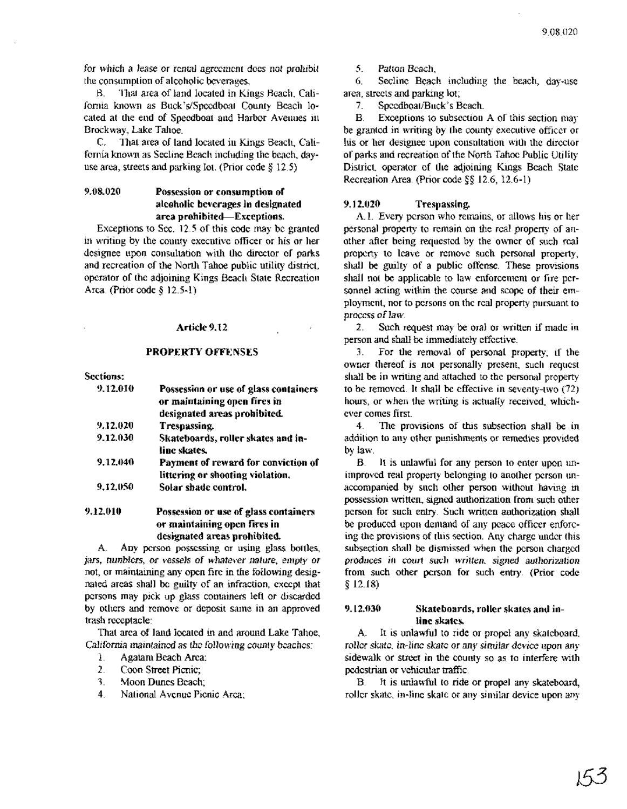for which a lease or rental agreement does not prohibit the consumption of alcoholic beverages.

B. That area of land located in Kings Beach, California known as Buck's/Speedboat County Beach located at the end of Speedboat and Harbor Avenues in Brockway, Lake Tahoe.

C. That area of land located in Kings Beach, California known as Secline Beach including the beach, dayuse area, streets and parking lot. (Prior code § 12.5)

# 9.08.020 Possession or consumption of alcoholic beverages in designated area prohibited-Exceptions.

Exceptions to Sec. 12.5 of this code may be granted in writing by the county executive officer or his or her designee upon consultation with the director of parks and recreation of the North Tahoe public utility district, operator of the adjoining Kings Beach State Recreation Area. (prior code § 12.5-1)

## Article 9.12

# PROPERTY OFFENSES

Sections:

| Possession or use of glass containers |
|---------------------------------------|
| or maintaining open fires in          |
| designated areas prohibited.          |
|                                       |
| Skateboards, roller skates and in-    |
|                                       |
| Payment of reward for conviction of   |
| littering or shooting violation.      |
|                                       |
|                                       |
|                                       |

9.12.010 Possession or use of glass containers or maintaining open fires in designated areas prohibited.

A . Any person possessing or using glass bottles, jars, tumblers, *Dr* vessels of *whatever nature,* empty *Dr* not, or maintaining any open fire in the following designated areas shall be guilty of an infraction, except that persons may pick up glass containers left or discarded by others and remove or deposit same in an approved trash receptacle:

That area of land located in and around Lake Talloe, California maintained as *ilte* foHowing county beaches:

- 1. Agatam Beach Area;
- 2. Coon Street Picnic;
- 3. Moon Dunes Beach;
- 4. National Avenue Picnic Area;

*5. Patton* Beach;

6. Secline Beach including the beach, day-use area, streets and parking lot;

7. Speedboat/Buck's Beach.

B. Exceptions to subsection A of this section may be granted in writing by the county executive officer or his or her designee upon consultation with the director of parks and recreation of the North Tahoe Public Utility. District, operator of the adjoining Kings Beach State Recreation Area. (prior code §§ 12.6, 12.6-1)

## 9.12.020 Trespassing.

A.1. Every person who remains, or allows his or her personal property to remain on the real property of another after being requested by the owner of such real property to leave or remove such personal property, shall be guilty of a public offense. These provisions shall not be applicable to law enforcement or fire personnel acting within the course and scope of their employment, nor to persons on the real property pursuant to process of law.

2. Such request may be oral or written if made in person and shall be immediately effective.

3. For the removal of personal property, if the owner thereof is not personally present, such request shall be in writing and attached to the personal property to be removed. It shall be effective in seventy-two (72) hours, or when the writing is actually received, whichever comes first.

4. The provisions of this subsection shall be in addition to any other punishments or remedies provided by law.

B. It is unlawful for any person to enter upon unimproved real property belonging to another person unaccompanied by such other person without having in possession written, signed authorization from such other person for such entry. Such written authorization shall be produced upon demand of any peace officer enforcing the provisions of this section. Any charge under this subsection shall be dismissed when the person charged produces in court suel! written, signed *auillOrization* from such other person for such entry. (prior code § 12.18)

# 9.12.030 Skateboards, roller skates and inline skates.

A. It is unlawful to ride or propel any skateboard, roller skate, in-line skate or any similar device upon any sidewalk or street in the county so as to interfere with pedestrian or vehicular traffic.

B. It is unlawful to ride or propel any skateboard, roller skate, in-line skate or any similar device upon any